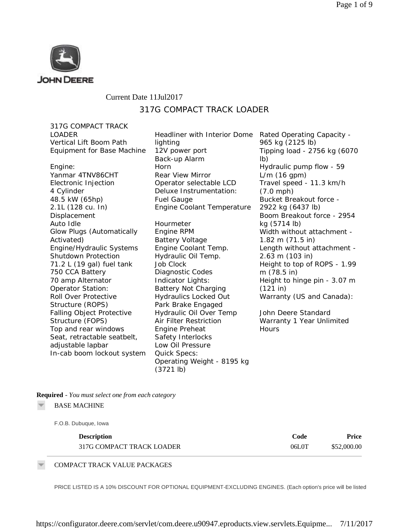

## Current Date 11Jul2017 317G COMPACT TRACK LOADER

317G COMPACT TRACK LOADER Vertical Lift Boom Path Equipment for Base Machine

Engine: Yanmar 4TNV86CHT Electronic Injection 4 Cylinder 48.5 kW (65hp) 2.1L (128 cu. In) Displacement Auto Idle Glow Plugs (Automatically Activated) Engine/Hydraulic Systems Shutdown Protection 71.2 L (19 gal) fuel tank 750 CCA Battery 70 amp Alternator Operator Station: Roll Over Protective Structure (ROPS) Falling Object Protective Structure (FOPS) Top and rear windows Seat, retractable seatbelt, adjustable lapbar In-cab boom lockout system Headliner with Interior Dome lighting 12V power port Back-up Alarm Horn Rear View Mirror Operator selectable LCD Deluxe Instrumentation: Fuel Gauge Engine Coolant Temperature

Hourmeter Engine RPM Battery Voltage Engine Coolant Temp. Hydraulic Oil Temp. Job Clock Diagnostic Codes Indicator Lights: Battery Not Charging Hydraulics Locked Out Park Brake Engaged Hydraulic Oil Over Temp Air Filter Restriction Engine Preheat Safety Interlocks Low Oil Pressure Quick Specs: Operating Weight - 8195 kg (3721 lb)

Rated Operating Capacity - 965 kg (2125 lb) Tipping load - 2756 kg (6070 lb) Hydraulic pump flow - 59 L/m (16 gpm) Travel speed - 11.3 km/h (7.0 mph) Bucket Breakout force - 2922 kg (6437 lb) Boom Breakout force - 2954 kg (5714 lb) Width without attachment - 1.82 m (71.5 in) Length without attachment - 2.63 m (103 in) Height to top of ROPS - 1.99 m (78.5 in) Height to hinge pin - 3.07 m (121 in) Warranty (US and Canada):

John Deere Standard Warranty 1 Year Unlimited **Hours** 

**Required** *- You must select one from each category*

BASE MACHINE

F.O.B. Dubuque, Iowa

| <b>Description</b>        | Code  | Price       |
|---------------------------|-------|-------------|
| 317G COMPACT TRACK LOADER | 06L0T | \$52,000.00 |

COMPACT TRACK VALUE PACKAGES

PRICE LISTED IS A 10% DISCOUNT FOR OPTIONAL EQUIPMENT-EXCLUDING ENGINES. (Each option's price will be listed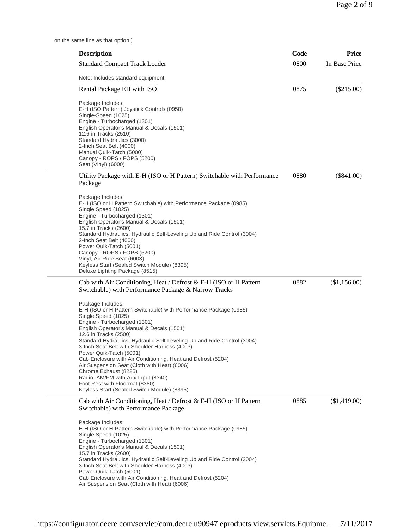on the same line as that option.)

| <b>Description</b>                                                                                                                                                                                                                                                                                                                                                                                                                                                                                                                                                                                                                         | Code | <b>Price</b>  |
|--------------------------------------------------------------------------------------------------------------------------------------------------------------------------------------------------------------------------------------------------------------------------------------------------------------------------------------------------------------------------------------------------------------------------------------------------------------------------------------------------------------------------------------------------------------------------------------------------------------------------------------------|------|---------------|
| <b>Standard Compact Track Loader</b>                                                                                                                                                                                                                                                                                                                                                                                                                                                                                                                                                                                                       | 0800 | In Base Price |
| Note: Includes standard equipment                                                                                                                                                                                                                                                                                                                                                                                                                                                                                                                                                                                                          |      |               |
| Rental Package EH with ISO                                                                                                                                                                                                                                                                                                                                                                                                                                                                                                                                                                                                                 | 0875 | $(\$215.00)$  |
| Package Includes:<br>E-H (ISO Pattern) Joystick Controls (0950)<br>Single-Speed (1025)<br>Engine - Turbocharged (1301)<br>English Operator's Manual & Decals (1501)<br>12.6 in Tracks (2510)<br>Standard Hydraulics (3000)<br>2-Inch Seat Belt (4000)<br>Manual Quik-Tatch (5000)<br>Canopy - ROPS / FOPS (5200)<br>Seat (Vinyl) (6000)                                                                                                                                                                                                                                                                                                    |      |               |
| Utility Package with E-H (ISO or H Pattern) Switchable with Performance<br>Package                                                                                                                                                                                                                                                                                                                                                                                                                                                                                                                                                         | 0880 | $(\$841.00)$  |
| Package Includes:<br>E-H (ISO or H Pattern Switchable) with Performance Package (0985)<br>Single Speed (1025)<br>Engine - Turbocharged (1301)<br>English Operator's Manual & Decals (1501)<br>15.7 in Tracks (2600)<br>Standard Hydraulics, Hydraulic Self-Leveling Up and Ride Control (3004)<br>2-Inch Seat Belt (4000)<br>Power Quik-Tatch (5001)<br>Canopy - ROPS / FOPS (5200)<br>Vinyl, Air-Ride Seat (6003)<br>Keyless Start (Sealed Switch Module) (8395)<br>Deluxe Lighting Package (8515)                                                                                                                                        |      |               |
| Cab with Air Conditioning, Heat / Defrost & E-H (ISO or H Pattern<br>Switchable) with Performance Package & Narrow Tracks                                                                                                                                                                                                                                                                                                                                                                                                                                                                                                                  | 0882 | (\$1,156.00)  |
| Package Includes:<br>E-H (ISO or H-Pattern Switchable) with Performance Package (0985)<br>Single Speed (1025)<br>Engine - Turbocharged (1301)<br>English Operator's Manual & Decals (1501)<br>12.6 in Tracks (2500)<br>Standard Hydraulics, Hydraulic Self-Leveling Up and Ride Control (3004)<br>3-Inch Seat Belt with Shoulder Harness (4003)<br>Power Quik-Tatch (5001)<br>Cab Enclosure with Air Conditioning, Heat and Defrost (5204)<br>Air Suspension Seat (Cloth with Heat) (6006)<br>Chrome Exhaust (8225)<br>Radio, AM/FM with Aux Input (8340)<br>Foot Rest with Floormat (8380)<br>Keyless Start (Sealed Switch Module) (8395) |      |               |
| Cab with Air Conditioning, Heat / Defrost & E-H (ISO or H Pattern<br>Switchable) with Performance Package                                                                                                                                                                                                                                                                                                                                                                                                                                                                                                                                  | 0885 | (\$1,419.00)  |
| Package Includes:<br>E-H (ISO or H-Pattern Switchable) with Performance Package (0985)<br>Single Speed (1025)<br>Engine - Turbocharged (1301)<br>English Operator's Manual & Decals (1501)<br>15.7 in Tracks (2600)<br>Standard Hydraulics, Hydraulic Self-Leveling Up and Ride Control (3004)<br>3-Inch Seat Belt with Shoulder Harness (4003)<br>Power Quik-Tatch (5001)<br>Cab Enclosure with Air Conditioning, Heat and Defrost (5204)<br>Air Suspension Seat (Cloth with Heat) (6006)                                                                                                                                                 |      |               |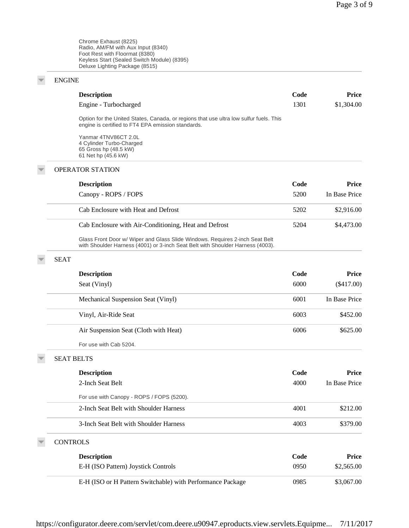Chrome Exhaust (8225) Radio, AM/FM with Aux Input (8340) Foot Rest with Floormat (8380) Keyless Start (Sealed Switch Module) (8395) Deluxe Lighting Package (8515)

## ENGINE

 $\overline{\phantom{a}}$ 

 $\overline{\phantom{a}}$ 

 $\overline{\mathbb{V}}$ 

 $\overline{\mathcal{F}}$ 

|                   | <b>Description</b>                                                                                                                                             | Code | Price         |
|-------------------|----------------------------------------------------------------------------------------------------------------------------------------------------------------|------|---------------|
|                   | Engine - Turbocharged                                                                                                                                          | 1301 | \$1,304.00    |
|                   | Option for the United States, Canada, or regions that use ultra low sulfur fuels. This<br>engine is certified to FT4 EPA emission standards.                   |      |               |
|                   | Yanmar 4TNV86CT 2.0L<br>4 Cylinder Turbo-Charged<br>65 Gross hp (48.5 kW)<br>61 Net hp (45.6 kW)                                                               |      |               |
|                   | <b>OPERATOR STATION</b>                                                                                                                                        |      |               |
|                   | <b>Description</b>                                                                                                                                             | Code | Price         |
|                   | Canopy - ROPS / FOPS                                                                                                                                           | 5200 | In Base Price |
|                   | Cab Enclosure with Heat and Defrost                                                                                                                            | 5202 | \$2,916.00    |
|                   | Cab Enclosure with Air-Conditioning, Heat and Defrost                                                                                                          | 5204 | \$4,473.00    |
|                   | Glass Front Door w/ Wiper and Glass Slide Windows. Requires 2-inch Seat Belt<br>with Shoulder Harness (4001) or 3-inch Seat Belt with Shoulder Harness (4003). |      |               |
| <b>SEAT</b>       |                                                                                                                                                                |      |               |
|                   | <b>Description</b>                                                                                                                                             | Code | Price         |
|                   | Seat (Vinyl)                                                                                                                                                   | 6000 | $(\$417.00)$  |
|                   | Mechanical Suspension Seat (Vinyl)                                                                                                                             | 6001 | In Base Price |
|                   | Vinyl, Air-Ride Seat                                                                                                                                           | 6003 | \$452.00      |
|                   | Air Suspension Seat (Cloth with Heat)                                                                                                                          | 6006 | \$625.00      |
|                   | For use with Cab 5204.                                                                                                                                         |      |               |
| <b>SEAT BELTS</b> |                                                                                                                                                                |      |               |
|                   | <b>Description</b>                                                                                                                                             | Code | Price         |
|                   | 2-Inch Seat Belt                                                                                                                                               | 4000 | In Base Price |
|                   | For use with Canopy - ROPS / FOPS (5200).                                                                                                                      |      |               |
|                   | 2-Inch Seat Belt with Shoulder Harness                                                                                                                         | 4001 | \$212.00      |
|                   | 3-Inch Seat Belt with Shoulder Harness                                                                                                                         | 4003 | \$379.00      |
| <b>CONTROLS</b>   |                                                                                                                                                                |      |               |
|                   | <b>Description</b>                                                                                                                                             | Code | <b>Price</b>  |
|                   | E-H (ISO Pattern) Joystick Controls                                                                                                                            | 0950 | \$2,565.00    |
|                   | E-H (ISO or H Pattern Switchable) with Performance Package                                                                                                     | 0985 | \$3,067.00    |
|                   |                                                                                                                                                                |      |               |

https://configurator.deere.com/servlet/com.deere.u90947.eproducts.view.servlets.Equipme... 7/11/2017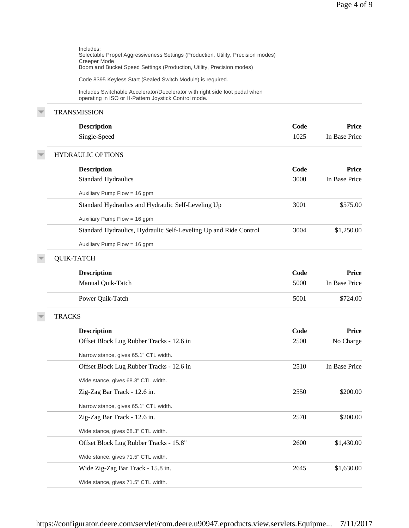| Includes:<br>Selectable Propel Aggressiveness Settings (Production, Utility, Precision modes)<br>Creeper Mode<br>Boom and Bucket Speed Settings (Production, Utility, Precision modes) |             |               |
|----------------------------------------------------------------------------------------------------------------------------------------------------------------------------------------|-------------|---------------|
| Code 8395 Keyless Start (Sealed Switch Module) is required.                                                                                                                            |             |               |
| Includes Switchable Accelerator/Decelerator with right side foot pedal when<br>operating in ISO or H-Pattern Joystick Control mode.                                                    |             |               |
| <b>TRANSMISSION</b>                                                                                                                                                                    |             |               |
| <b>Description</b>                                                                                                                                                                     | <b>Code</b> | <b>Price</b>  |
| Single-Speed                                                                                                                                                                           | 1025        | In Base Price |
| <b>HYDRAULIC OPTIONS</b>                                                                                                                                                               |             |               |
| <b>Description</b>                                                                                                                                                                     | Code        | Price         |
| <b>Standard Hydraulics</b>                                                                                                                                                             | 3000        | In Base Price |
| Auxiliary Pump Flow = 16 gpm                                                                                                                                                           |             |               |
| Standard Hydraulics and Hydraulic Self-Leveling Up                                                                                                                                     | 3001        | \$575.00      |
| Auxiliary Pump Flow = 16 gpm                                                                                                                                                           |             |               |
| Standard Hydraulics, Hydraulic Self-Leveling Up and Ride Control                                                                                                                       | 3004        | \$1,250.00    |
| Auxiliary Pump Flow = 16 gpm                                                                                                                                                           |             |               |
| <b>QUIK-TATCH</b>                                                                                                                                                                      |             |               |
| <b>Description</b>                                                                                                                                                                     | Code        | Price         |
| Manual Quik-Tatch                                                                                                                                                                      | 5000        | In Base Price |
| Power Quik-Tatch                                                                                                                                                                       | 5001        | \$724.00      |
| <b>TRACKS</b>                                                                                                                                                                          |             |               |
| <b>Description</b>                                                                                                                                                                     | Code        | <b>Price</b>  |
| Offset Block Lug Rubber Tracks - 12.6 in                                                                                                                                               | 2500        | No Charge     |
| Narrow stance, gives 65.1" CTL width.                                                                                                                                                  |             |               |
| Offset Block Lug Rubber Tracks - 12.6 in                                                                                                                                               | 2510        | In Base Price |
| Wide stance, gives 68.3" CTL width.                                                                                                                                                    |             |               |
| Zig-Zag Bar Track - 12.6 in.                                                                                                                                                           | 2550        | \$200.00      |
| Narrow stance, gives 65.1" CTL width.                                                                                                                                                  |             |               |
| Zig-Zag Bar Track - 12.6 in.                                                                                                                                                           | 2570        | \$200.00      |
| Wide stance, gives 68.3" CTL width.                                                                                                                                                    |             |               |
| Offset Block Lug Rubber Tracks - 15.8"                                                                                                                                                 | 2600        | \$1,430.00    |
| Wide stance, gives 71.5" CTL width.                                                                                                                                                    |             |               |
| Wide Zig-Zag Bar Track - 15.8 in.                                                                                                                                                      | 2645        | \$1,630.00    |
| Wide stance, gives 71.5" CTL width.                                                                                                                                                    |             |               |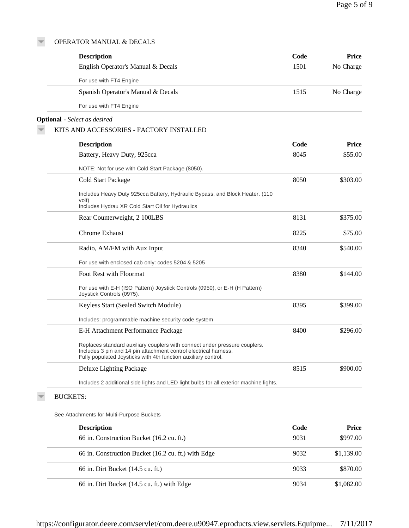## OPERATOR MANUAL & DECALS

 $\overline{\phantom{m}}$ 

| <b>Description</b>                                                                                                                                                                                               | Code | Price      |
|------------------------------------------------------------------------------------------------------------------------------------------------------------------------------------------------------------------|------|------------|
| English Operator's Manual & Decals                                                                                                                                                                               | 1501 | No Charge  |
| For use with FT4 Engine                                                                                                                                                                                          |      |            |
| Spanish Operator's Manual & Decals                                                                                                                                                                               | 1515 | No Charge  |
| For use with FT4 Engine                                                                                                                                                                                          |      |            |
| <b>Optional</b> - Select as desired                                                                                                                                                                              |      |            |
| KITS AND ACCESSORIES - FACTORY INSTALLED                                                                                                                                                                         |      |            |
| <b>Description</b>                                                                                                                                                                                               | Code | Price      |
| Battery, Heavy Duty, 925cca                                                                                                                                                                                      | 8045 | \$55.00    |
| NOTE: Not for use with Cold Start Package (8050).                                                                                                                                                                |      |            |
| Cold Start Package                                                                                                                                                                                               | 8050 | \$303.00   |
| Includes Heavy Duty 925cca Battery, Hydraulic Bypass, and Block Heater. (110                                                                                                                                     |      |            |
| volt)<br>Includes Hydrau XR Cold Start Oil for Hydraulics                                                                                                                                                        |      |            |
| Rear Counterweight, 2 100LBS                                                                                                                                                                                     | 8131 | \$375.00   |
| Chrome Exhaust                                                                                                                                                                                                   | 8225 |            |
|                                                                                                                                                                                                                  |      | \$75.00    |
| Radio, AM/FM with Aux Input                                                                                                                                                                                      | 8340 | \$540.00   |
| For use with enclosed cab only: codes 5204 & 5205                                                                                                                                                                |      |            |
| Foot Rest with Floormat                                                                                                                                                                                          | 8380 | \$144.00   |
| For use with E-H (ISO Pattern) Joystick Controls (0950), or E-H (H Pattern)<br>Joystick Controls (0975).                                                                                                         |      |            |
| Keyless Start (Sealed Switch Module)                                                                                                                                                                             | 8395 | \$399.00   |
| Includes: programmable machine security code system                                                                                                                                                              |      |            |
| E-H Attachment Performance Package                                                                                                                                                                               | 8400 | \$296.00   |
| Replaces standard auxiliary couplers with connect under pressure couplers.<br>Includes 3 pin and 14 pin attachment control electrical harness.<br>Fully populated Joysticks with 4th function auxiliary control. |      |            |
| Deluxe Lighting Package                                                                                                                                                                                          | 8515 | \$900.00   |
| Includes 2 additional side lights and LED light bulbs for all exterior machine lights.                                                                                                                           |      |            |
| <b>BUCKETS:</b>                                                                                                                                                                                                  |      |            |
| See Attachments for Multi-Purpose Buckets                                                                                                                                                                        |      |            |
| <b>Description</b>                                                                                                                                                                                               | Code | Price      |
| 66 in. Construction Bucket (16.2 cu. ft.)                                                                                                                                                                        | 9031 | \$997.00   |
| 66 in. Construction Bucket (16.2 cu. ft.) with Edge                                                                                                                                                              | 9032 | \$1,139.00 |
| 66 in. Dirt Bucket (14.5 cu. ft.)                                                                                                                                                                                | 9033 | \$870.00   |
|                                                                                                                                                                                                                  |      |            |

66 in. Dirt Bucket (14.5 cu. ft.) with Edge 9034 \$1,082.00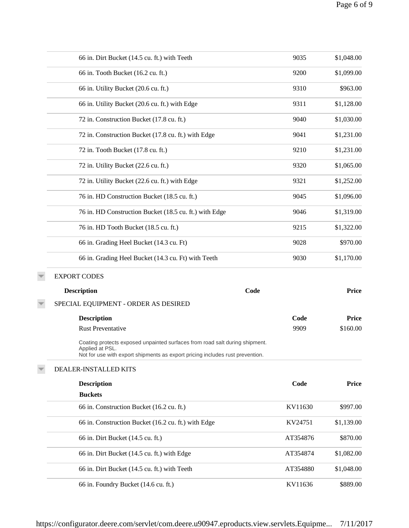| 66 in. Dirt Bucket (14.5 cu. ft.) with Teeth                                                                                                                                    | 9035     | \$1,048.00   |
|---------------------------------------------------------------------------------------------------------------------------------------------------------------------------------|----------|--------------|
| 66 in. Tooth Bucket (16.2 cu. ft.)                                                                                                                                              | 9200     | \$1,099.00   |
| 66 in. Utility Bucket (20.6 cu. ft.)                                                                                                                                            | 9310     | \$963.00     |
| 66 in. Utility Bucket (20.6 cu. ft.) with Edge                                                                                                                                  | 9311     | \$1,128.00   |
| 72 in. Construction Bucket (17.8 cu. ft.)                                                                                                                                       | 9040     | \$1,030.00   |
| 72 in. Construction Bucket (17.8 cu. ft.) with Edge                                                                                                                             | 9041     | \$1,231.00   |
| 72 in. Tooth Bucket (17.8 cu. ft.)                                                                                                                                              | 9210     | \$1,231.00   |
| 72 in. Utility Bucket (22.6 cu. ft.)                                                                                                                                            | 9320     | \$1,065.00   |
| 72 in. Utility Bucket (22.6 cu. ft.) with Edge                                                                                                                                  | 9321     | \$1,252.00   |
| 76 in. HD Construction Bucket (18.5 cu. ft.)                                                                                                                                    | 9045     | \$1,096.00   |
| 76 in. HD Construction Bucket (18.5 cu. ft.) with Edge                                                                                                                          | 9046     | \$1,319.00   |
| 76 in. HD Tooth Bucket (18.5 cu. ft.)                                                                                                                                           | 9215     | \$1,322.00   |
| 66 in. Grading Heel Bucket (14.3 cu. Ft)                                                                                                                                        | 9028     | \$970.00     |
| 66 in. Grading Heel Bucket (14.3 cu. Ft) with Teeth                                                                                                                             | 9030     | \$1,170.00   |
| <b>EXPORT CODES</b>                                                                                                                                                             |          |              |
| Code<br><b>Description</b>                                                                                                                                                      |          | <b>Price</b> |
| SPECIAL EQUIPMENT - ORDER AS DESIRED                                                                                                                                            |          |              |
| <b>Description</b>                                                                                                                                                              | Code     | <b>Price</b> |
| <b>Rust Preventative</b>                                                                                                                                                        | 9909     | \$160.00     |
| Coating protects exposed unpainted surfaces from road salt during shipment.<br>Applied at PSL.<br>Not for use with export shipments as export pricing includes rust prevention. |          |              |
| DEALER-INSTALLED KITS                                                                                                                                                           |          |              |
| <b>Description</b>                                                                                                                                                              | Code     | <b>Price</b> |
| <b>Buckets</b>                                                                                                                                                                  |          |              |
| 66 in. Construction Bucket (16.2 cu. ft.)                                                                                                                                       | KV11630  | \$997.00     |
| 66 in. Construction Bucket (16.2 cu. ft.) with Edge                                                                                                                             | KV24751  | \$1,139.00   |
| 66 in. Dirt Bucket (14.5 cu. ft.)                                                                                                                                               | AT354876 | \$870.00     |
| 66 in. Dirt Bucket (14.5 cu. ft.) with Edge                                                                                                                                     | AT354874 | \$1,082.00   |
| 66 in. Dirt Bucket (14.5 cu. ft.) with Teeth                                                                                                                                    | AT354880 | \$1,048.00   |
| 66 in. Foundry Bucket (14.6 cu. ft.)                                                                                                                                            | KV11636  | \$889.00     |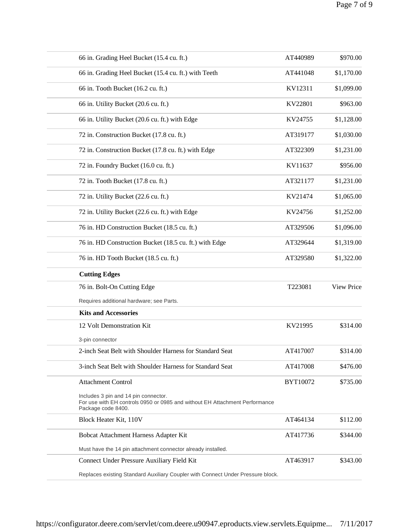| 66 in. Grading Heel Bucket (15.4 cu. ft.)                                                                                                 | AT440989 | \$970.00   |
|-------------------------------------------------------------------------------------------------------------------------------------------|----------|------------|
| 66 in. Grading Heel Bucket (15.4 cu. ft.) with Teeth                                                                                      | AT441048 | \$1,170.00 |
| 66 in. Tooth Bucket (16.2 cu. ft.)                                                                                                        | KV12311  | \$1,099.00 |
| 66 in. Utility Bucket (20.6 cu. ft.)                                                                                                      | KV22801  | \$963.00   |
| 66 in. Utility Bucket (20.6 cu. ft.) with Edge                                                                                            | KV24755  | \$1,128.00 |
| 72 in. Construction Bucket (17.8 cu. ft.)                                                                                                 | AT319177 | \$1,030.00 |
| 72 in. Construction Bucket (17.8 cu. ft.) with Edge                                                                                       | AT322309 | \$1,231.00 |
| 72 in. Foundry Bucket (16.0 cu. ft.)                                                                                                      | KV11637  | \$956.00   |
| 72 in. Tooth Bucket (17.8 cu. ft.)                                                                                                        | AT321177 | \$1,231.00 |
| 72 in. Utility Bucket (22.6 cu. ft.)                                                                                                      | KV21474  | \$1,065.00 |
| 72 in. Utility Bucket (22.6 cu. ft.) with Edge                                                                                            | KV24756  | \$1,252.00 |
| 76 in. HD Construction Bucket (18.5 cu. ft.)                                                                                              | AT329506 | \$1,096.00 |
| 76 in. HD Construction Bucket (18.5 cu. ft.) with Edge                                                                                    | AT329644 | \$1,319.00 |
| 76 in. HD Tooth Bucket (18.5 cu. ft.)                                                                                                     | AT329580 | \$1,322.00 |
| <b>Cutting Edges</b>                                                                                                                      |          |            |
| 76 in. Bolt-On Cutting Edge                                                                                                               | T223081  | View Price |
| Requires additional hardware; see Parts.                                                                                                  |          |            |
| <b>Kits and Accessories</b>                                                                                                               |          |            |
| 12 Volt Demonstration Kit                                                                                                                 | KV21995  | \$314.00   |
| 3-pin connector                                                                                                                           |          |            |
| 2-inch Seat Belt with Shoulder Harness for Standard Seat                                                                                  | AT417007 | \$314.00   |
| 3-inch Seat Belt with Shoulder Harness for Standard Seat                                                                                  | AT417008 | \$476.00   |
| <b>Attachment Control</b>                                                                                                                 | BYT10072 | \$735.00   |
| Includes 3 pin and 14 pin connector.<br>For use with EH controls 0950 or 0985 and without EH Attachment Performance<br>Package code 8400. |          |            |
| Block Heater Kit, 110V                                                                                                                    | AT464134 | \$112.00   |
| Bobcat Attachment Harness Adapter Kit                                                                                                     | AT417736 | \$344.00   |
| Must have the 14 pin attachment connector already installed.                                                                              |          |            |
| Connect Under Pressure Auxiliary Field Kit                                                                                                | AT463917 | \$343.00   |
| Replaces existing Standard Auxiliary Coupler with Connect Under Pressure block.                                                           |          |            |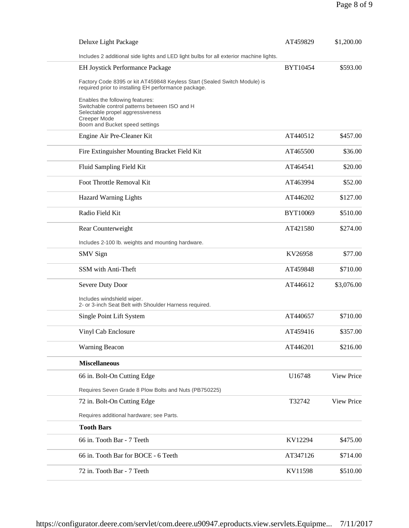| Deluxe Light Package                                                                                                                                                   | AT459829 | \$1,200.00 |
|------------------------------------------------------------------------------------------------------------------------------------------------------------------------|----------|------------|
| Includes 2 additional side lights and LED light bulbs for all exterior machine lights.                                                                                 |          |            |
| <b>EH Joystick Performance Package</b>                                                                                                                                 | BYT10454 | \$593.00   |
| Factory Code 8395 or kit AT459848 Keyless Start (Sealed Switch Module) is<br>required prior to installing EH performance package.                                      |          |            |
| Enables the following features:<br>Switchable control patterns between ISO and H<br>Selectable propel aggressiveness<br>Creeper Mode<br>Boom and Bucket speed settings |          |            |
| Engine Air Pre-Cleaner Kit                                                                                                                                             | AT440512 | \$457.00   |
| Fire Extinguisher Mounting Bracket Field Kit                                                                                                                           | AT465500 | \$36.00    |
| Fluid Sampling Field Kit                                                                                                                                               | AT464541 | \$20.00    |
| Foot Throttle Removal Kit                                                                                                                                              | AT463994 | \$52.00    |
| <b>Hazard Warning Lights</b>                                                                                                                                           | AT446202 | \$127.00   |
| Radio Field Kit                                                                                                                                                        | BYT10069 | \$510.00   |
| Rear Counterweight                                                                                                                                                     | AT421580 | \$274.00   |
| Includes 2-100 lb. weights and mounting hardware.                                                                                                                      |          |            |
| <b>SMV</b> Sign                                                                                                                                                        | KV26958  | \$77.00    |
| SSM with Anti-Theft                                                                                                                                                    | AT459848 | \$710.00   |
| Severe Duty Door                                                                                                                                                       | AT446612 | \$3,076.00 |
| Includes windshield wiper.<br>2- or 3-inch Seat Belt with Shoulder Harness required.                                                                                   |          |            |
| Single Point Lift System                                                                                                                                               | AT440657 | \$710.00   |
| Vinyl Cab Enclosure                                                                                                                                                    | AT459416 | \$357.00   |
| <b>Warning Beacon</b>                                                                                                                                                  | AT446201 | \$216.00   |
| <b>Miscellaneous</b>                                                                                                                                                   |          |            |
| 66 in. Bolt-On Cutting Edge                                                                                                                                            | U16748   | View Price |
| Requires Seven Grade 8 Plow Bolts and Nuts (PB750225)                                                                                                                  |          |            |
| 72 in. Bolt-On Cutting Edge                                                                                                                                            | T32742   | View Price |
| Requires additional hardware; see Parts.                                                                                                                               |          |            |
| <b>Tooth Bars</b>                                                                                                                                                      |          |            |
| 66 in. Tooth Bar - 7 Teeth                                                                                                                                             | KV12294  | \$475.00   |
| 66 in. Tooth Bar for BOCE - 6 Teeth                                                                                                                                    | AT347126 | \$714.00   |
| 72 in. Tooth Bar - 7 Teeth                                                                                                                                             | KV11598  | \$510.00   |